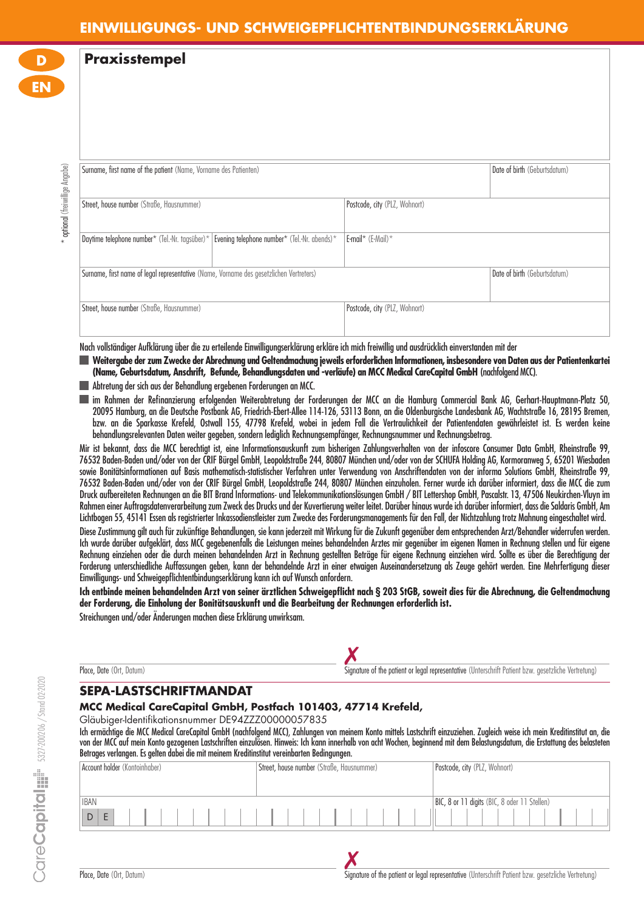# **EINWILLIGUNGS- UND SCHWEIGEPFLICHTENTBINDUNGSERKLÄRUNG**

**Praxisstempel**

**D**

**EN**

| Surname, first name of the patient (Name, Vorname des Patienten)                              |                               | Date of birth (Geburtsdatum) |
|-----------------------------------------------------------------------------------------------|-------------------------------|------------------------------|
|                                                                                               |                               |                              |
| Street, house number (Straße, Hausnummer)                                                     | Postcode, city (PLZ, Wohnort) |                              |
|                                                                                               |                               |                              |
| Daytime telephone number* (Tel.-Nr. tagsüber)*   Evening telephone number* (Tel.-Nr. abends)* | E-mail* (E-Mail)*             |                              |
|                                                                                               |                               |                              |
| Surname, first name of legal representative (Name, Vorname des gesetzlichen Vertreters)       |                               | Date of birth (Geburtsdatum) |
|                                                                                               |                               |                              |
| Street, house number (Straße, Hausnummer)                                                     | Postcode, city (PLZ, Wohnort) |                              |
|                                                                                               |                               |                              |

Nach vollständiger Aufklärung über die zu erteilende Einwilligungserklärung erkläre ich mich freiwillig und ausdrücklich einverstanden mit der

- **Weitergabe der zum Zwecke der Abrechnung und Geltendmachung jeweils erforderlichen Informationen, insbesondere von Daten aus der Patientenkartei (Name, Geburtsdatum, Anschrift, Befunde, Behandlungsdaten und -verläufe) an MCC Medical CareCapital GmbH** (nachfolgend MCC).
- Abtretung der sich aus der Behandlung ergebenen Forderungen an MCC.
- im Rahmen der Refinanzierung erfolgenden Weiterabtretung der Forderungen der MCC an die Hamburg Commercial Bank AG, Gerhart-Hauptmann-Platz 50, 20095 Hamburg, an die Deutsche Postbank AG, Friedrich-Ebert-Allee 114-126, 53113 Bonn, an die Oldenburgische Landesbank AG, Wachtstraße 16, 28195 Bremen, bzw. an die Sparkasse Krefeld, Ostwall 155, 47798 Krefeld, wobei in jedem Fall die Vertraulichkeit der Patientendaten gewährleistet ist. Es werden keine behandlungsrelevanten Daten weiter gegeben, sondern lediglich Rechnungsempfänger, Rechnungsnummer und Rechnungsbetrag.

Mir ist bekannt, dass die MCC berechtigt ist, eine Informationsauskunft zum bisherigen Zahlungsverhalten von der infoscore Consumer Data GmbH, Rheinstraße 99, 76532 Baden-Baden und/oder von der CRIF Bürgel GmbH, Leopoldstraße 244, 80807 München und/oder von der SCHUFA Holding AG, Kormoranweg 5, 65201 Wiesbaden sowie Bonitätsinformationen auf Basis mathematisch-statistischer Verfahren unter Verwendung von Anschriftendaten von der informa Solutions GmbH, Rheinstraße 99, 76532 Baden-Baden und/oder von der CRIF Bürgel GmbH, Leopoldstraße 244, 80807 München einzuholen. Ferner wurde ich darüber informiert, dass die MCC die zum Druck aufbereiteten Rechnungen an die BIT Brand Informations- und Telekommunikationslösungen GmbH / BIT Lettershop GmbH, Pascalstr. 13, 47506 Neukirchen-Vluyn im Rahmen einer Auftragsdatenverarbeitung zum Zweck des Drucks und der Kuvertierung weiter leitet. Darüber hinaus wurde ich darüber informiert, dass die Saldaris GmbH, Am Lichtbogen 55, 45141 Essen als registrierter Inkassodienstleister zum Zwecke des Forderungsmanagements für den Fall, der Nichtzahlung trotz Mahnung eingeschaltet wird.

Diese Zustimmung gilt auch für zukünftige Behandlungen, sie kann jederzeit mit Wirkung für die Zukunft gegenüber dem entsprechenden Arzt/Behandler widerrufen werden. Ich wurde darüber aufgeklärt, dass MCC gegebenenfalls die Leistungen meines behandelnden Arztes mir gegenüber im eigenen Namen in Rechnung stellen und für eigene Rechnung einziehen oder die durch meinen behandelnden Arzt in Rechnung gestellten Beträge für eigene Rechnung einziehen wird. Sollte es über die Berechtigung der Forderung unterschiedliche Auffassungen geben, kann der behandelnde Arzt in einer etwaigen Auseinandersetzung als Zeuge gehört werden. Eine Mehrfertigung dieser Einwilligungs- und Schweigepfl ichtentbindungserklärung kann ich auf Wunsch anfordern.

**Ich entbinde meinen behandelnden Arzt von seiner ärztlichen Schweigepfl icht nach § 203 StGB, soweit dies für die Abrechnung, die Geltendmachung der Forderung, die Einholung der Bonitätsauskunft und die Bearbeitung der Rechnungen erforderlich ist.**

Streichungen und/oder Änderungen machen diese Erklärung unwirksam.

| Place, Date (Ort, Datum) |  |
|--------------------------|--|
|--------------------------|--|

place, Date (Ort, Datum)<br>Place, Date (Ort, Datum) Signature of the patient or legal representative (Unterschrift Patient bzw. gesetzliche Vertretung)

### **SEPA-LASTSCHRIFTMANDAT**

**MCC Medical CareCapital GmbH, Postfach 101403, 47714 Krefeld,** 

Gläubiger-Identifikationsnummer DE94ZZZ00000057835

Ich ermächtige die MCC Medical CareCapital GmbH (nachfolgend MCC), Zahlungen von meinem Konto mittels Lastschrift einzuziehen. Zugleich weise ich mein Kreditinstitut an, die von der MCC auf mein Konto gezogenen Lastschriften einzulösen. Hinweis: Ich kann innerhalb von acht Wochen, beginnend mit dem Belastungsdatum, die Erstattung des belasteten Betrages verlangen. Es gelten dabei die mit meinem Kreditinstitut vereinbarten Bedingungen.

| Account holder (Kontoinhaber) | Street, house number (Straße, Hausnummer) | Postcode, city (PLZ, Wohnort)                |
|-------------------------------|-------------------------------------------|----------------------------------------------|
|                               |                                           |                                              |
| <b>IBAN</b>                   |                                           | BIC, 8 or 11 digits (BIC, 8 oder 11 Stellen) |
| D                             |                                           |                                              |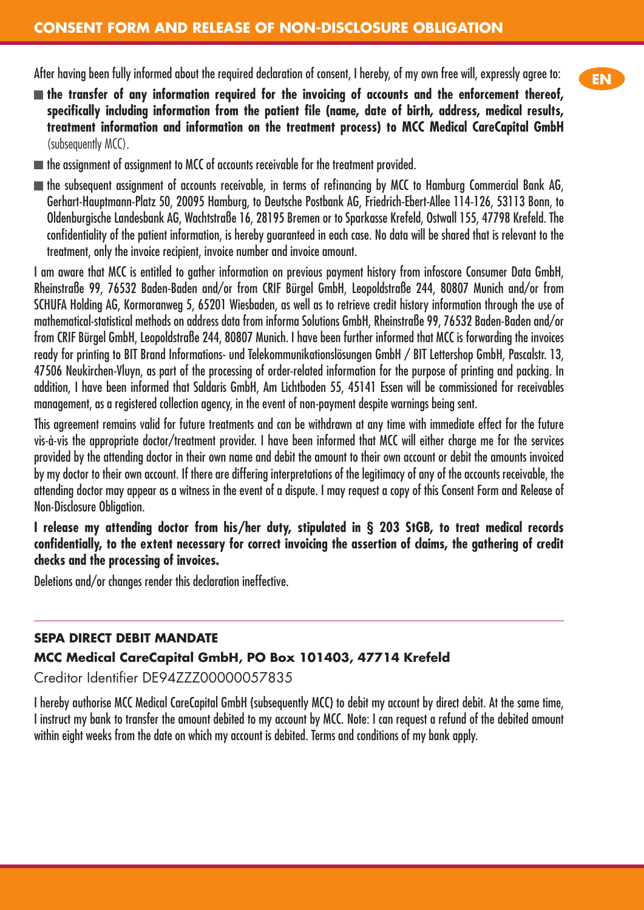After having been fully informed about the required declaration of consent, I hereby, of my own free will, expressly agree to:

- **the transfer of any information required for the invoicing of accounts and the enforcement thereof,**  specifically including information from the patient file (name, date of birth, address, medical results, **treatment information and information on the treatment process) to MCC Medical CareCapital GmbH**  (subsequently MCC).
- $\blacksquare$  the assignment of assignment to MCC of accounts receivable for the treatment provided.
- $\blacksquare$  the subsequent assignment of accounts receivable, in terms of refinancing by MCC to Hamburg Commercial Bank AG, Gerhart-Hauptmann-Platz 50, 20095 Hamburg, to Deutsche Postbank AG, Friedrich-Ebert-Allee 114-126, 53113 Bonn, to Oldenburgische Landesbank AG, Wachtstraße 16, 28195 Bremen or to Sparkasse Krefeld, Ostwall 155, 47798 Krefeld. The confidentiality of the patient information, is hereby guaranteed in each case. No data will be shared that is relevant to the treatment, only the invoice recipient, invoice number and invoice amount.

I am aware that MCC is entitled to gather information on previous payment history from infoscore Consumer Data GmbH, Rheinstraße 99, 76532 Baden-Baden and/or from CRIF Bürgel GmbH, Leopoldstraße 244, 80807 Munich and/or from SCHUFA Holding AG, Kormoranweg 5, 65201 Wiesbaden, as well as to retrieve credit history information through the use of mathematical-statistical methods on address data from informa Solutions GmbH, Rheinstraße 99, 76532 Baden-Baden and/or from CRIF Bürgel GmbH, Leopoldstraße 244, 80807 Munich. I have been further informed that MCC is forwarding the invoices ready for printing to BIT Brand Informations- und Telekommunikationslösungen GmbH / BIT Lettershop GmbH, Pascalstr. 13, 47506 Neukirchen-Vluyn, as part of the processing of order-related information for the purpose of printing and packing. In addition, I have been informed that Saldaris GmbH, Am Lichtboden 55, 45141 Essen will be commissioned for receivables management, as a registered collection agency, in the event of non-payment despite warnings being sent.

This agreement remains valid for future treatments and can be withdrawn at any time with immediate effect for the future vis-à-vis the appropriate doctor/treatment provider. I have been informed that MCC will either charge me for the services provided by the attending doctor in their own name and debit the amount to their own account or debit the amounts invoiced by my doctor to their own account. If there are differing interpretations of the legitimacy of any of the accounts receivable, the attending doctor may appear as a witness in the event of a dispute. I may request a copy of this Consent Form and Release of Non-Disclosure Obligation.

**I release my attending doctor from his/her duty, stipulated in § 203 StGB, to treat medical records confi dentially, to the extent necessary for correct invoicing the assertion of claims, the gathering of credit checks and the processing of invoices.**

Deletions and/or changes render this declaration ineffective.

### **SEPA DIRECT DEBIT MANDATE**

### **MCC Medical CareCapital GmbH, PO Box 101403, 47714 Krefeld**

Creditor Identifier DE94ZZZ00000057835

I hereby authorise MCC Medical CareCapital GmbH (subsequently MCC) to debit my account by direct debit. At the same time, I instruct my bank to transfer the amount debited to my account by MCC. Note: I can request a refund of the debited amount within eight weeks from the date on which my account is debited. Terms and conditions of my bank apply.

**EN**